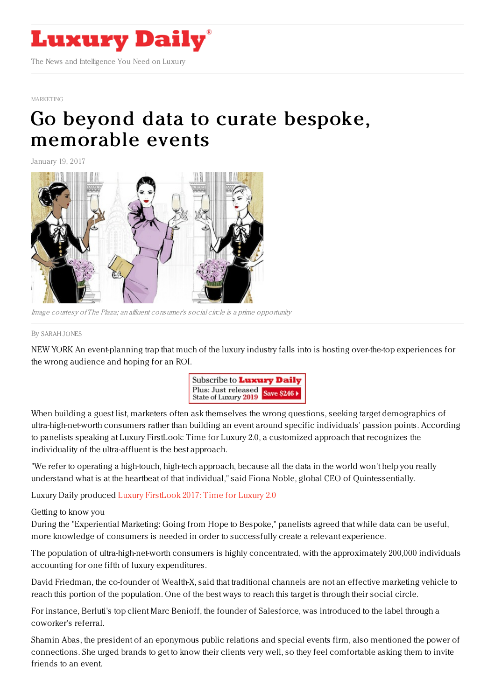

#### [MARKETING](https://www.luxurydaily.com/category/sectors/marketing-industry-sectors/)

# Go beyond data to curate bespoke, [memorable](https://www.luxurydaily.com/go-beyond-data-to-curate-bespoke-memorable-events/) events

January 19, 2017



Image courtesy of The Plaza; an affluent consumer's social circle is a prime opportunity

#### By [SARAH](file:///author/sarah-jones) JONES

NEW YORK An event-planning trap that much of the luxury industry falls into is hosting over-the-top experiences for the wrong audience and hoping for an ROI.



When building a guest list, marketers often ask themselves the wrong questions, seeking target demographics of ultra-high-net-worth consumers rather than building an event around specific individuals' passion points. According to panelists speaking at Luxury FirstLook: Time for Luxury 2.0, a customized approach that recognizes the individuality of the ultra-affluent is the best approach.

"We refer to operating a high-touch, high-tech approach, because all the data in the world won't help you really understand what is at the heartbeat of that individual," said Fiona Noble, global CEO of Quintessentially.

Luxury Daily produced Luxury [FirstLook](https://www.luxurydaily.com/announcing-luxury-firstlook-2017-time-for-luxury-2-0/) 2017: Time for Luxury 2.0

### Getting to know you

During the "Experiential Marketing: Going from Hope to Bespoke," panelists agreed that while data can be useful, more knowledge of consumers is needed in order to successfully create a relevant experience.

The population of ultra-high-net-worth consumers is highly concentrated, with the approximately 200,000 individuals accounting for one fifth of luxury expenditures.

David Friedman, the co-founder of Wealth-X, said that traditional channels are not an effective marketing vehicle to reach this portion of the population. One of the best ways to reach this target is through their social circle.

For instance, Berluti's top client Marc Benioff, the founder of Salesforce, was introduced to the label through a coworker's referral.

Shamin Abas, the president of an eponymous public relations and special events firm, also mentioned the power of connections. She urged brands to get to know their clients very well, so they feel comfortable asking them to invite friends to an event.